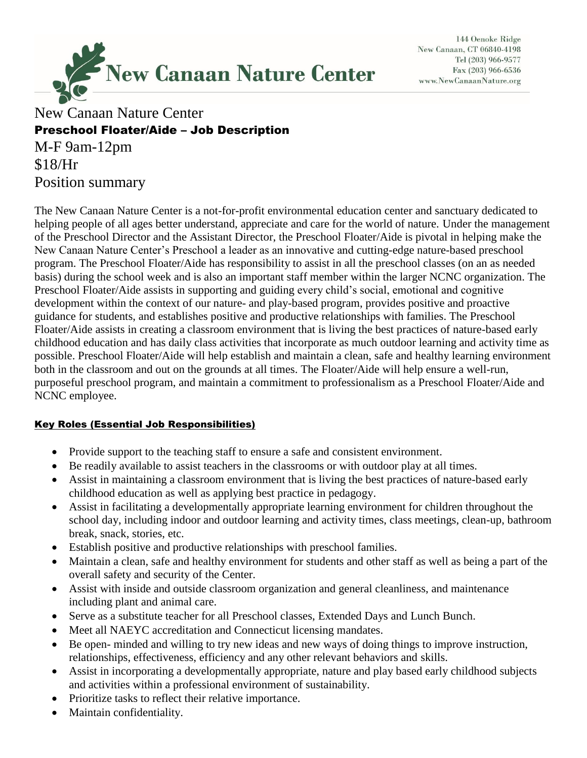

144 Oenoke Ridge New Canaan, CT 06840-4198 Tel (203) 966-9577 Fax (203) 966-6536 www.NewCanaanNature.org

# New Canaan Nature Center Preschool Floater/Aide – Job Description

M-F 9am-12pm \$18/Hr Position summary

The New Canaan Nature Center is a not-for-profit environmental education center and sanctuary dedicated to helping people of all ages better understand, appreciate and care for the world of nature. Under the management of the Preschool Director and the Assistant Director, the Preschool Floater/Aide is pivotal in helping make the New Canaan Nature Center's Preschool a leader as an innovative and cutting-edge nature-based preschool program. The Preschool Floater/Aide has responsibility to assist in all the preschool classes (on an as needed basis) during the school week and is also an important staff member within the larger NCNC organization. The Preschool Floater/Aide assists in supporting and guiding every child's social, emotional and cognitive development within the context of our nature- and play-based program, provides positive and proactive guidance for students, and establishes positive and productive relationships with families. The Preschool Floater/Aide assists in creating a classroom environment that is living the best practices of nature-based early childhood education and has daily class activities that incorporate as much outdoor learning and activity time as possible. Preschool Floater/Aide will help establish and maintain a clean, safe and healthy learning environment both in the classroom and out on the grounds at all times. The Floater/Aide will help ensure a well-run, purposeful preschool program, and maintain a commitment to professionalism as a Preschool Floater/Aide and NCNC employee.

#### Key Roles (Essential Job Responsibilities)

- Provide support to the teaching staff to ensure a safe and consistent environment.
- Be readily available to assist teachers in the classrooms or with outdoor play at all times.
- Assist in maintaining a classroom environment that is living the best practices of nature-based early childhood education as well as applying best practice in pedagogy.
- Assist in facilitating a developmentally appropriate learning environment for children throughout the school day, including indoor and outdoor learning and activity times, class meetings, clean-up, bathroom break, snack, stories, etc.
- Establish positive and productive relationships with preschool families.
- Maintain a clean, safe and healthy environment for students and other staff as well as being a part of the overall safety and security of the Center.
- Assist with inside and outside classroom organization and general cleanliness, and maintenance including plant and animal care.
- Serve as a substitute teacher for all Preschool classes, Extended Days and Lunch Bunch.
- Meet all NAEYC accreditation and Connecticut licensing mandates.
- Be open- minded and willing to try new ideas and new ways of doing things to improve instruction, relationships, effectiveness, efficiency and any other relevant behaviors and skills.
- Assist in incorporating a developmentally appropriate, nature and play based early childhood subjects and activities within a professional environment of sustainability.
- Prioritize tasks to reflect their relative importance.
- Maintain confidentiality.